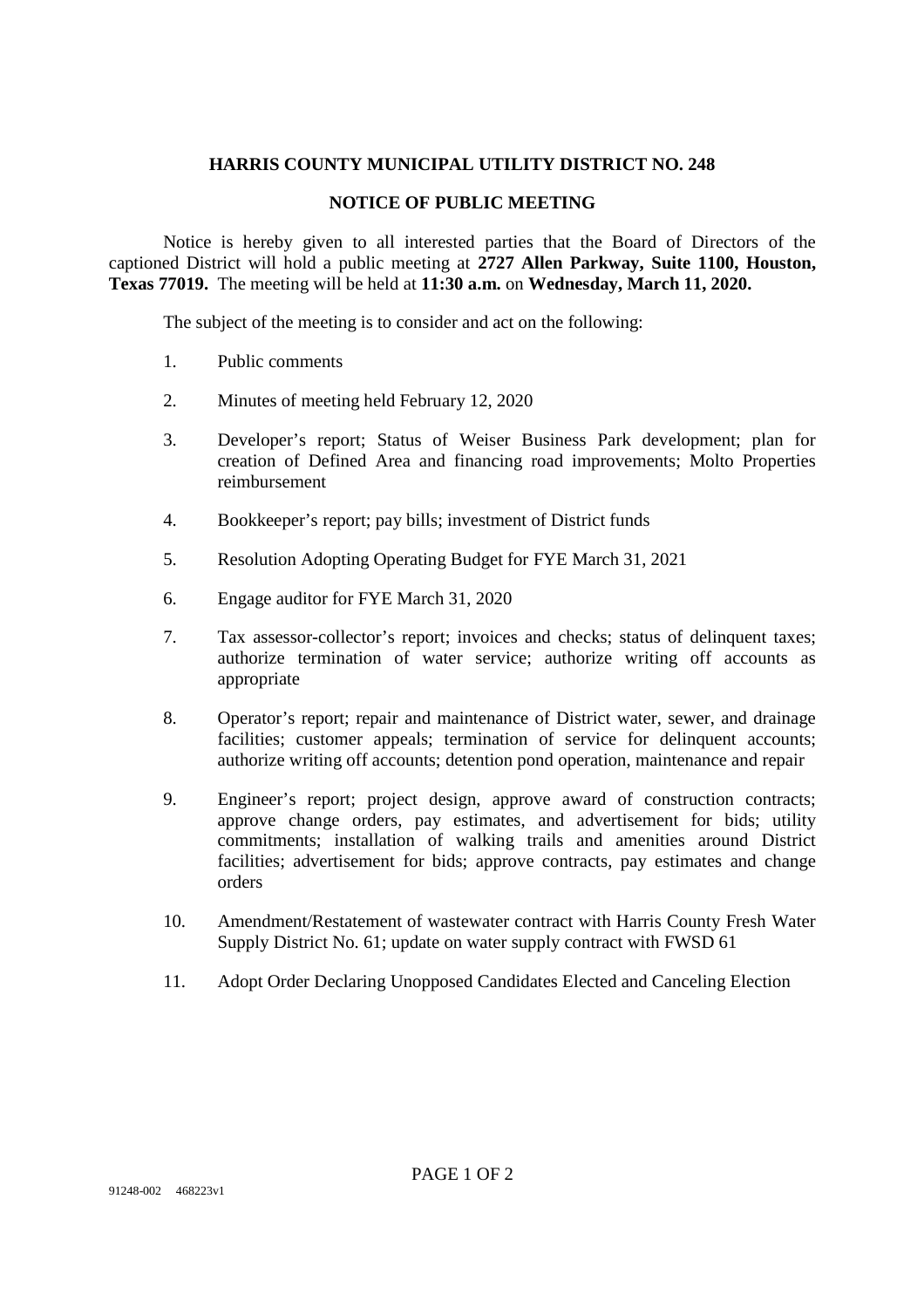#### **HARRIS COUNTY MUNICIPAL UTILITY DISTRICT NO. 248**

#### **NOTICE OF PUBLIC MEETING**

Notice is hereby given to all interested parties that the Board of Directors of the captioned District will hold a public meeting at **2727 Allen Parkway, Suite 1100, Houston, Texas 77019.** The meeting will be held at **11:30 a.m.** on **Wednesday, March 11, 2020.**

The subject of the meeting is to consider and act on the following:

- 1. Public comments
- 2. Minutes of meeting held February 12, 2020
- 3. Developer's report; Status of Weiser Business Park development; plan for creation of Defined Area and financing road improvements; Molto Properties reimbursement
- 4. Bookkeeper's report; pay bills; investment of District funds
- 5. Resolution Adopting Operating Budget for FYE March 31, 2021
- 6. Engage auditor for FYE March 31, 2020
- 7. Tax assessor-collector's report; invoices and checks; status of delinquent taxes; authorize termination of water service; authorize writing off accounts as appropriate
- 8. Operator's report; repair and maintenance of District water, sewer, and drainage facilities; customer appeals; termination of service for delinquent accounts; authorize writing off accounts; detention pond operation, maintenance and repair
- 9. Engineer's report; project design, approve award of construction contracts; approve change orders, pay estimates, and advertisement for bids; utility commitments; installation of walking trails and amenities around District facilities; advertisement for bids; approve contracts, pay estimates and change orders
- 10. Amendment/Restatement of wastewater contract with Harris County Fresh Water Supply District No. 61; update on water supply contract with FWSD 61
- 11. Adopt Order Declaring Unopposed Candidates Elected and Canceling Election